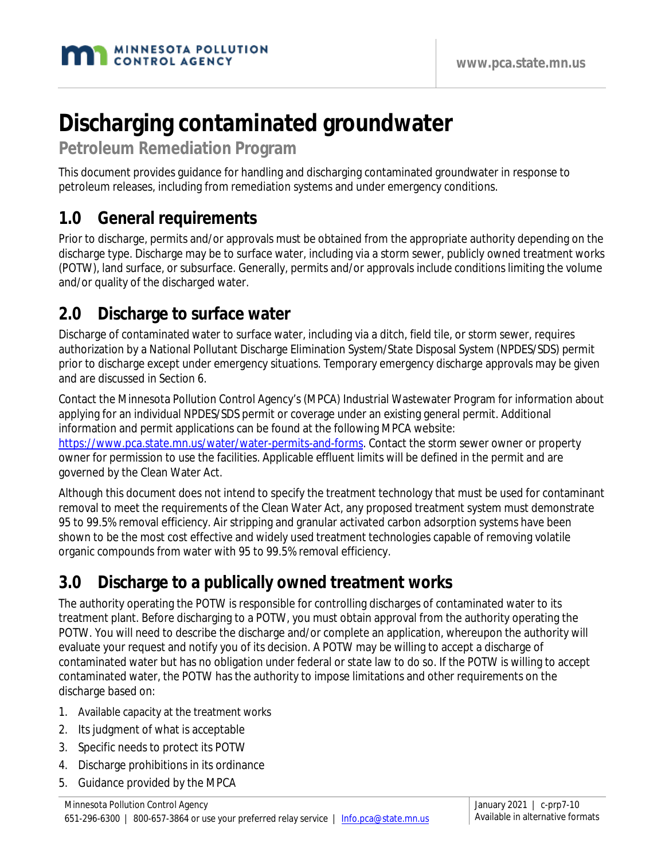# **Discharging contaminated groundwater**

**Petroleum Remediation Program**

This document provides guidance for handling and discharging contaminated groundwater in response to petroleum releases, including from remediation systems and under emergency conditions.

#### **1.0 General requirements**

Prior to discharge, permits and/or approvals must be obtained from the appropriate authority depending on the discharge type. Discharge may be to surface water, including via a storm sewer, publicly owned treatment works (POTW), land surface, or subsurface. Generally, permits and/or approvals include conditions limiting the volume and/or quality of the discharged water.

#### **2.0 Discharge to surface water**

Discharge of contaminated water to surface water, including via a ditch, field tile, or storm sewer, requires authorization by a National Pollutant Discharge Elimination System/State Disposal System (NPDES/SDS) permit prior to discharge except under emergency situations. Temporary emergency discharge approvals may be given and are discussed in Section 6.

Contact the Minnesota Pollution Control Agency's (MPCA) Industrial Wastewater Program for information about applying for an individual NPDES/SDS permit or coverage under an existing general permit. Additional information and permit applications can be found at the following MPCA website: https://www.pca.state.mn.us/water/water-permits-and-forms. Contact the storm sewer owner or property owner for permission to use the facilities. Applicable effluent limits will be defined in the permit and are governed by the Clean Water Act.

Although this document does not intend to specify the treatment technology that must be used for contaminant removal to meet the requirements of the Clean Water Act, any proposed treatment system must demonstrate 95 to 99.5% removal efficiency. Air stripping and granular activated carbon adsorption systems have been shown to be the most cost effective and widely used treatment technologies capable of removing volatile organic compounds from water with 95 to 99.5% removal efficiency.

# **3.0 Discharge to a publically owned treatment works**

The authority operating the POTW is responsible for controlling discharges of contaminated water to its treatment plant. Before discharging to a POTW, you must obtain approval from the authority operating the POTW. You will need to describe the discharge and/or complete an application, whereupon the authority will evaluate your request and notify you of its decision. A POTW may be willing to accept a discharge of contaminated water but has no obligation under federal or state law to do so. If the POTW is willing to accept contaminated water, the POTW has the authority to impose limitations and other requirements on the discharge based on:

- 1. Available capacity at the treatment works
- 2. Its judgment of what is acceptable
- 3. Specific needs to protect its POTW
- 4. Discharge prohibitions in its ordinance
- 5. Guidance provided by the MPCA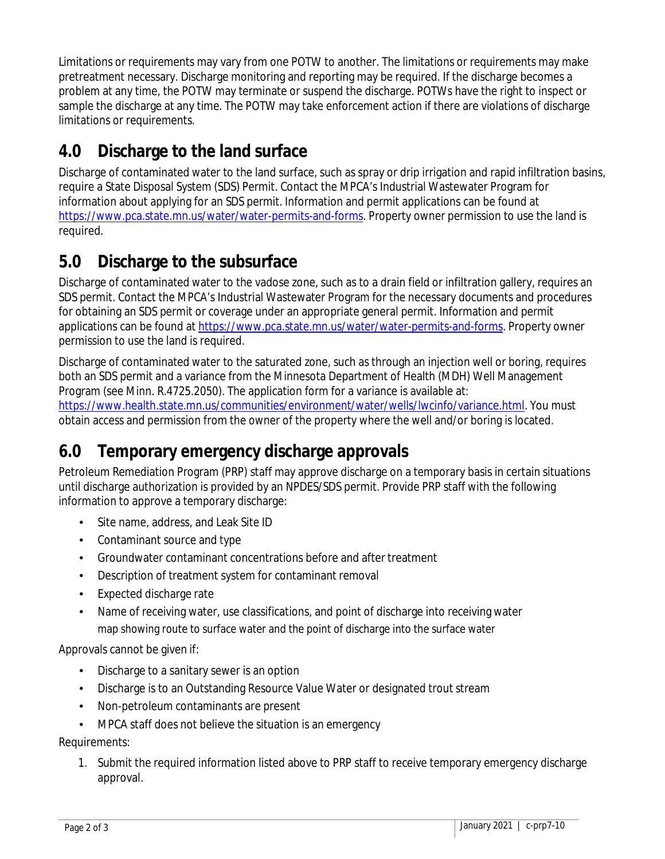Limitations or requirements may vary from one POTW to another. The limitations or requirements may make pretreatment necessary. Discharge monitoring and reporting may be required. If the discharge becomes a problem at any time, the POTW may terminate or suspend the discharge. POTWs have the right to inspect or sample the discharge at any time. The POTW may take enforcement action if there are violations of discharge limitations or requirements.

# **4.0 Discharge to the land surface**

Discharge of contaminated water to the land surface, such as spray or drip irrigation and rapid infiltration basins, require a State Disposal System (SDS) Permit. Contact the MPCA's Industrial Wastewater Program for information about applying for an SDS permit. Information and permit applications can be found at [https://www.pca.state.mn.us/water/water-permits-and-forms.](https://www.pca.state.mn.us/water/water-permits-and-forms) Property owner permission to use the land is required.

#### **5.0 Discharge to the subsurface**

Discharge of contaminated water to the vadose zone, such as to a drain field or infiltration gallery, requires an SDS permit. Contact the MPCA's Industrial Wastewater Program for the necessary documents and procedures for obtaining an SDS permit or coverage under an appropriate general permit. Information and permit applications can be found a[t https://www.pca.state.mn.us/water/water-permits-and-forms.](https://www.pca.state.mn.us/water/water-permits-and-forms) Property owner permission to use the land is required.

Discharge of contaminated water to the saturated zone, such as through an injection well or boring, requires both an SDS permit and a variance from the Minnesota Department of Health (MDH) Well Management Program (see Minn. R.4725.2050). The application form for a variance is available at: [https://www.health.state.mn.us/communities/environment/water/wells/lwcinfo/variance.html.](https://www.health.state.mn.us/communities/environment/water/wells/lwcinfo/variance.html) You must obtain access and permission from the owner of the property where the well and/or boring is located.

# **6.0 Temporary emergency discharge approvals**

Petroleum Remediation Program (PRP) staff may approve discharge on a temporary basis in certain situations until discharge authorization is provided by an NPDES/SDS permit. Provide PRP staff with the following information to approve a temporary discharge:

- Site name, address, and Leak Site ID
- Contaminant source and type
- Groundwater contaminant concentrations before and after treatment
- Description of treatment system for contaminant removal
- Expected discharge rate
- Name of receiving water, use classifications, and point of discharge into receiving water map showing route to surface water and the point of discharge into the surface water

Approvals cannot be given if:

- Discharge to a sanitary sewer is an option
- Discharge is to an Outstanding Resource Value Water or designated trout stream
- Non-petroleum contaminants are present
- MPCA staff does not believe the situation is an emergency

Requirements:

1. Submit the required information listed above to PRP staff to receive temporary emergency discharge approval.